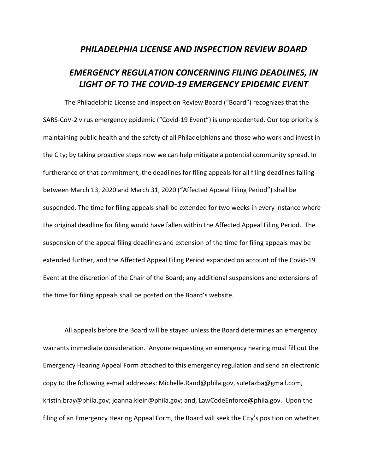## *PHILADELPHIA LICENSE AND INSPECTION REVIEW BOARD*

## *EMERGENCY REGULATION CONCERNING FILING DEADLINES, IN LIGHT OF TO THE COVID-19 EMERGENCY EPIDEMIC EVENT*

The Philadelphia License and Inspection Review Board ("Board") recognizes that the SARS-CoV-2 virus emergency epidemic ("Covid-19 Event") is unprecedented. Our top priority is maintaining public health and the safety of all Philadelphians and those who work and invest in the City; by taking proactive steps now we can help mitigate a potential community spread. In furtherance of that commitment, the deadlines for filing appeals for all filing deadlines falling between March 13, 2020 and March 31, 2020 ("Affected Appeal Filing Period") shall be suspended. The time for filing appeals shall be extended for two weeks in every instance where the original deadline for filing would have fallen within the Affected Appeal Filing Period. The suspension of the appeal filing deadlines and extension of the time for filing appeals may be extended further, and the Affected Appeal Filing Period expanded on account of the Covid-19 Event at the discretion of the Chair of the Board; any additional suspensions and extensions of the time for filing appeals shall be posted on the Board's website.

All appeals before the Board will be stayed unless the Board determines an emergency warrants immediate consideration. Anyone requesting an emergency hearing must fill out the Emergency Hearing Appeal Form attached to this emergency regulation and send an electronic copy to the following e-mail addresses: Michelle.Rand@phila.gov, suletazba@gmail.com, kristin.bray@phila.gov; joanna.klein@phila.gov; and, LawCodeEnforce@phila.gov. Upon the filing of an Emergency Hearing Appeal Form, the Board will seek the City's position on whether